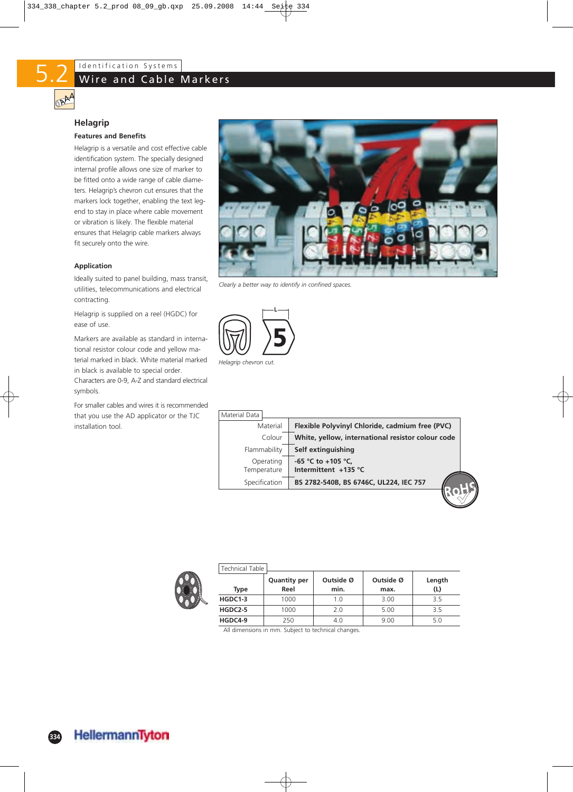

### **Helagrip**

#### **Features and Benefits**

Helagrip is a versatile and cost effective cable identification system. The specially designed internal profile allows one size of marker to be fitted onto a wide range of cable diameters. Helagrip's chevron cut ensures that the markers lock together, enabling the text legend to stay in place where cable movement or vibration is likely. The flexible material ensures that Helagrip cable markers always fit securely onto the wire.

#### **Application**

Ideally suited to panel building, mass transit, utilities, telecommunications and electrical contracting.

Helagrip is supplied on a reel (HGDC) for ease of use.

Markers are available as standard in international resistor colour code and yellow material marked in black. White material marked in black is available to special order. Characters are 0-9, A-Z and standard electrical symbols.

For smaller cables and wires it is recommended that you use the AD applicator or the TJC installation tool.



*Clearly a better way to identify in confined spaces.*



| Material Data            |                                                   |
|--------------------------|---------------------------------------------------|
| Material                 | Flexible Polyvinyl Chloride, cadmium free (PVC)   |
| Colour                   | White, yellow, international resistor colour code |
| Flammability             | Self extinguishing                                |
| Operating<br>Temperature | -65 °C to +105 °C,<br>Intermittent +135 °C        |
| Specification            | BS 2782-540B, BS 6746C, UL224, IEC 757            |
|                          |                                                   |



| Technical Table I |                     |           |           |        |
|-------------------|---------------------|-----------|-----------|--------|
|                   | <b>Quantity per</b> | Outside Ø | Outside Ø | Length |
| Type              | Reel                | min.      | max.      | (L)    |
| HGDC1-3           | 1000                | 1.0       | 3.00      | 3.5    |
| $HGDC2-5$         | 1000                | 2.0       | 5.00      | 3.5    |
| HGDC4-9           | 250                 | 4.0       | 9.00      | 5.0    |

All dimensions in mm. Subject to technical changes.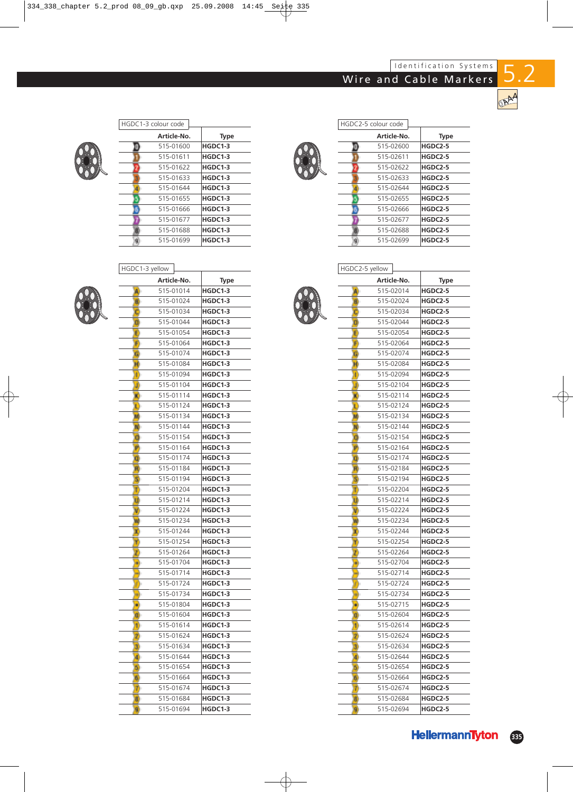# Wire and Cable Markers



5.2



|  | HGDC2-5 colour code |                |
|--|---------------------|----------------|
|  | Article-No.         | <b>Type</b>    |
|  | 515-02600           | <b>HGDC2-5</b> |
|  | 515-02611           | <b>HGDC2-5</b> |
|  | 515-02622           | <b>HGDC2-5</b> |
|  | 515-02633           | <b>HGDC2-5</b> |
|  | 515-02644           | <b>HGDC2-5</b> |
|  | 515-02655           | <b>HGDC2-5</b> |
|  | 515-02666           | <b>HGDC2-5</b> |
|  | 515-02677           | <b>HGDC2-5</b> |
|  | 515-02688           | <b>HGDC2-5</b> |
|  | 515-02699           | <b>HGDC2-5</b> |
|  |                     |                |

HGDC2-5 yellow

|              | HGDC1-3 yellow |         |  |
|--------------|----------------|---------|--|
|              | Article-No.    | Type    |  |
| A)           | 515-01014      | HGDC1-3 |  |
| Ð            | 515-01024      | HGDC1-3 |  |
| o            | 515-01034      | HGDC1-3 |  |
| п            | 515-01044      | HGDC1-3 |  |
| Đ            | 515-01054      | HGDC1-3 |  |
| Đ            | 515-01064      | HGDC1-3 |  |
| ω            | 515-01074      | HGDC1-3 |  |
| Ħ            | 515-01084      | HGDC1-3 |  |
| 11)          | 515-01094      | HGDC1-3 |  |
| W            | 515-01104      | HGDC1-3 |  |
| ю            | 515-01114      | HGDC1-3 |  |
| υ            | 515-01124      | HGDC1-3 |  |
| M,           | 515-01134      | HGDC1-3 |  |
| ĸ.           | 515-01144      | HGDC1-3 |  |
| o            | 515-01154      | HGDC1-3 |  |
| Р            | 515-01164      | HGDC1-3 |  |
| O.           | 515-01174      | HGDC1-3 |  |
| H            | 515-01184      | HGDC1-3 |  |
| s            | 515-01194      | HGDC1-3 |  |
| Ю            | 515-01204      | HGDC1-3 |  |
| Φ            | 515-01214      | HGDC1-3 |  |
| N)           | 515-01224      | HGDC1-3 |  |
| 玂            | 515-01234      | HGDC1-3 |  |
| E)           | 515-01244      | HGDC1-3 |  |
| n,           | 515-01254      | HGDC1-3 |  |
| $\mathbf{z}$ | 515-01264      | HGDC1-3 |  |
| H.           | 515-01704      | HGDC1-3 |  |
| ÷            | 515-01714      | HGDC1-3 |  |
| ŋ            | 515-01724      | HGDC1-3 |  |
| W.           | 515-01734      | HGDC1-3 |  |
| H)           | 515-01804      | HGDC1-3 |  |
| o            | 515-01604      | HGDC1-3 |  |
| 70           | 515-01614      | HGDC1-3 |  |
| ø            | 515-01624      | HGDC1-3 |  |
| 3)           | 515-01634      | HGDC1-3 |  |
| 4            | 515-01644      | HGDC1-3 |  |
| 5            | 515-01654      | HGDC1-3 |  |
| b.           | 515-01664      | HGDC1-3 |  |
| Φ            | 515-01674      | HGDC1-3 |  |
| Đ            | 515-01684      | HGDC1-3 |  |
| 8            | 515-01694      | HGDC1-3 |  |



| Article-No.      | <b>Type</b>    |
|------------------|----------------|
| 515-02014<br>A)  | HGDC2-5        |
| 515-02024<br>Đ   | HGDC2-5        |
| 515-02034<br>c   | HGDC2-5        |
| 515-02044<br>σ   | HGDC2-5        |
| 515-02054<br>Ε   | HGDC2-5        |
| 515-02064<br>F   | <b>HGDC2-5</b> |
| 515-02074<br>G   | HGDC2-5        |
| 515-02084<br>H   | HGDC2-5        |
| 515-02094<br>U   | HGDC2-5        |
| 515-02104<br>J)  | HGDC2-5        |
| 515-02114<br>ю   | HGDC2-5        |
| 515-02124<br>L   | HGDC2-5        |
| 515-02134<br>M   | HGDC2-5        |
| 515-02144<br>N   | HGDC2-5        |
| 515-02154<br>a   | HGDC2-5        |
| P<br>515-02164   | HGDC2-5        |
| 515-02174<br>Φ   | HGDC2-5        |
| 515-02184<br>FD. | HGDC2-5        |
| 515-02194<br>5)  | HGDC2-5        |
| ĩ<br>515-02204   | HGDC2-5        |
| 515-02214<br>υ   | HGDC2-5        |
| 515-02224<br>V   | HGDC2-5        |
| 515-02234<br>w   | HGDC2-5        |
| 515-02244<br>ю   | HGDC2-5        |
| 515-02254<br>۲   | HGDC2-5        |
| 515-02264<br>τ   | HGDC2-5        |
| 515-02704<br>H)  | HGDC2-5        |
| 515-02714        | <b>HGDC2-5</b> |
| 515-02724<br>V   | HGDC2-5        |
| 515-02734<br>w.  | HGDC2-5        |
| 515-02715<br>۰   | HGDC2-5        |
| 515-02604<br>o   | <b>HGDC2-5</b> |
| 515-02614<br>1   | HGDC2-5        |
| 515-02624<br>2   | HGDC2-5        |
| 515-02634<br>3   | HGDC2-5        |
| 515-02644<br>Ф   | <b>HGDC2-5</b> |
| 515-02654<br>5)  | HGDC2-5        |
| 515-02664<br>6   | HGDC2-5        |
| 515-02674<br>7   | HGDC2-5        |
| 515-02684<br>B)  | HGDC2-5        |
| 515-02694<br>9)  | <b>HGDC2-5</b> |